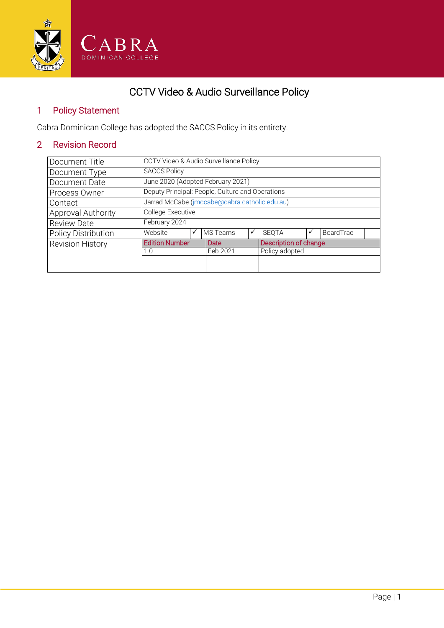

# CCTV Video & Audio Surveillance Policy

## 1 Policy Statement

Cabra Dominican College has adopted the SACCS Policy in its entirety.

# 2 Revision Record

| Document Title             | CCTV Video & Audio Surveillance Policy           |   |          |   |                       |  |           |  |
|----------------------------|--------------------------------------------------|---|----------|---|-----------------------|--|-----------|--|
| Document Type              | <b>SACCS Policy</b>                              |   |          |   |                       |  |           |  |
| Document Date              | June 2020 (Adopted February 2021)                |   |          |   |                       |  |           |  |
| Process Owner              | Deputy Principal: People, Culture and Operations |   |          |   |                       |  |           |  |
| Contact                    | Jarrad McCabe (imccabe@cabra.catholic.edu.au)    |   |          |   |                       |  |           |  |
| Approval Authority         | College Executive                                |   |          |   |                       |  |           |  |
| <b>Review Date</b>         | February 2024                                    |   |          |   |                       |  |           |  |
| <b>Policy Distribution</b> | Website                                          | ✓ | MS Teams | ✓ | <b>SEQTA</b>          |  | BoardTrac |  |
| Revision History           | <b>Edition Number</b>                            |   | Date     |   | Description of change |  |           |  |
|                            | 1.0                                              |   | Feb 2021 |   | Policy adopted        |  |           |  |
|                            |                                                  |   |          |   |                       |  |           |  |
|                            |                                                  |   |          |   |                       |  |           |  |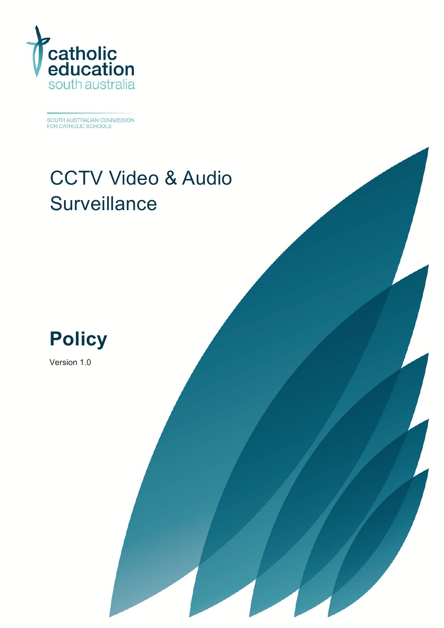

SOUTH AUSTRALIAN COMMISSION<br>FOR CATHOLIC SCHOOLS

# CCTV Video & Audio **Surveillance**



Version 1.0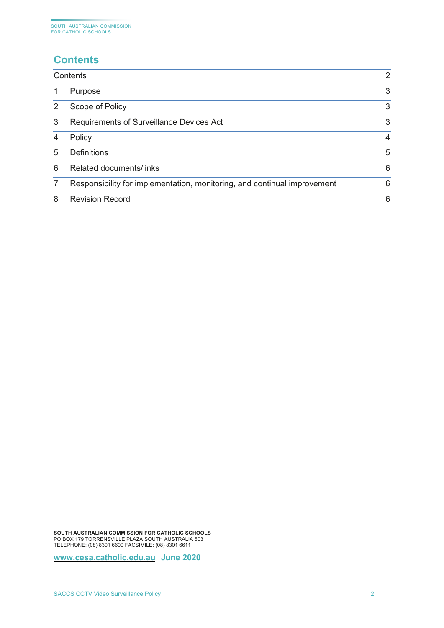# <span id="page-2-0"></span>**Contents**

|   | Contents                                                                 | 2 |
|---|--------------------------------------------------------------------------|---|
|   | Purpose                                                                  | 3 |
|   | Scope of Policy                                                          | 3 |
| 3 | <b>Requirements of Surveillance Devices Act</b>                          | 3 |
| 4 | Policy                                                                   | 4 |
| 5 | <b>Definitions</b>                                                       | 5 |
| 6 | <b>Related documents/links</b>                                           | 6 |
|   | Responsibility for implementation, monitoring, and continual improvement | 6 |
| 8 | <b>Revision Record</b>                                                   | 6 |

<span id="page-2-1"></span>**SOUTH AUSTRALIAN COMMISSION FOR CATHOLIC SCHOOLS** PO BOX 179 TORRENSVILLE PLAZA SOUTH AUSTRALIA 5031 TELEPHONE: (08) 8301 6600 FACSIMILE: (08) 8301 6611

**[www.cesa.catholic.edu.au](http://www.cesa.catholic.edu.au/) June 2020**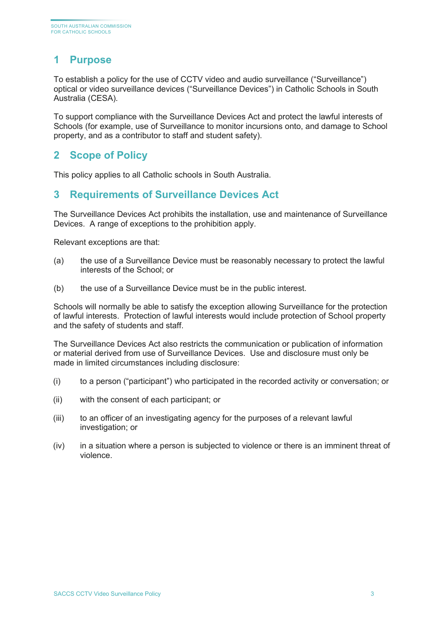# <span id="page-3-0"></span>**1 Purpose**

To establish a policy for the use of CCTV video and audio surveillance ("Surveillance") optical or video surveillance devices ("Surveillance Devices") in Catholic Schools in South Australia (CESA).

To support compliance with the Surveillance Devices Act and protect the lawful interests of Schools (for example, use of Surveillance to monitor incursions onto, and damage to School property, and as a contributor to staff and student safety).

#### <span id="page-3-1"></span>**2 Scope of Policy**

This policy applies to all Catholic schools in South Australia.

#### <span id="page-3-2"></span>**3 Requirements of Surveillance Devices Act**

The Surveillance Devices Act prohibits the installation, use and maintenance of Surveillance Devices. A range of exceptions to the prohibition apply.

Relevant exceptions are that:

- (a) the use of a Surveillance Device must be reasonably necessary to protect the lawful interests of the School; or
- (b) the use of a Surveillance Device must be in the public interest.

Schools will normally be able to satisfy the exception allowing Surveillance for the protection of lawful interests. Protection of lawful interests would include protection of School property and the safety of students and staff.

The Surveillance Devices Act also restricts the communication or publication of information or material derived from use of Surveillance Devices. Use and disclosure must only be made in limited circumstances including disclosure:

- (i) to a person ("participant") who participated in the recorded activity or conversation; or
- (ii) with the consent of each participant; or
- (iii) to an officer of an investigating agency for the purposes of a relevant lawful investigation; or
- (iv) in a situation where a person is subjected to violence or there is an imminent threat of violence.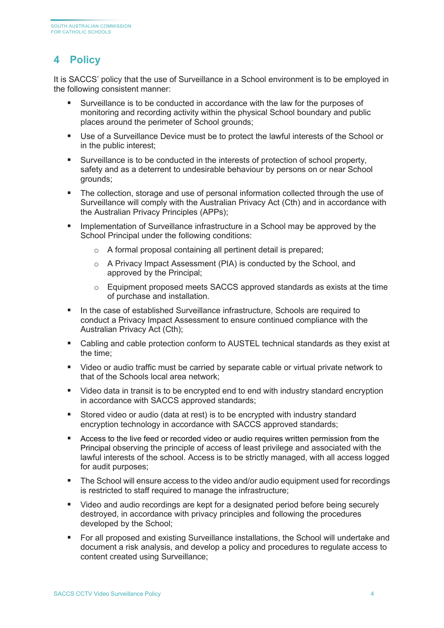# <span id="page-4-0"></span>**4 Policy**

It is SACCS' policy that the use of Surveillance in a School environment is to be employed in the following consistent manner:

- Surveillance is to be conducted in accordance with the law for the purposes of monitoring and recording activity within the physical School boundary and public places around the perimeter of School grounds;
- Use of a Surveillance Device must be to protect the lawful interests of the School or in the public interest;
- Surveillance is to be conducted in the interests of protection of school property, safety and as a deterrent to undesirable behaviour by persons on or near School grounds;
- The collection, storage and use of personal information collected through the use of Surveillance will comply with the Australian Privacy Act (Cth) and in accordance with the Australian Privacy Principles (APPs);
- Implementation of Surveillance infrastructure in a School may be approved by the School Principal under the following conditions:
	- o A formal proposal containing all pertinent detail is prepared;
	- o A Privacy Impact Assessment (PIA) is conducted by the School, and approved by the Principal;
	- o Equipment proposed meets SACCS approved standards as exists at the time of purchase and installation.
- In the case of established Surveillance infrastructure, Schools are required to conduct a Privacy Impact Assessment to ensure continued compliance with the Australian Privacy Act (Cth);
- Cabling and cable protection conform to AUSTEL technical standards as they exist at the time;
- Video or audio traffic must be carried by separate cable or virtual private network to that of the Schools local area network;
- Uideo data in transit is to be encrypted end to end with industry standard encryption in accordance with SACCS approved standards;
- Stored video or audio (data at rest) is to be encrypted with industry standard encryption technology in accordance with SACCS approved standards;
- Access to the live feed or recorded video or audio requires written permission from the Principal observing the principle of access of least privilege and associated with the lawful interests of the school. Access is to be strictly managed, with all access logged for audit purposes;
- The School will ensure access to the video and/or audio equipment used for recordings is restricted to staff required to manage the infrastructure;
- Video and audio recordings are kept for a designated period before being securely destroyed, in accordance with privacy principles and following the procedures developed by the School;
- For all proposed and existing Surveillance installations, the School will undertake and document a risk analysis, and develop a policy and procedures to regulate access to content created using Surveillance;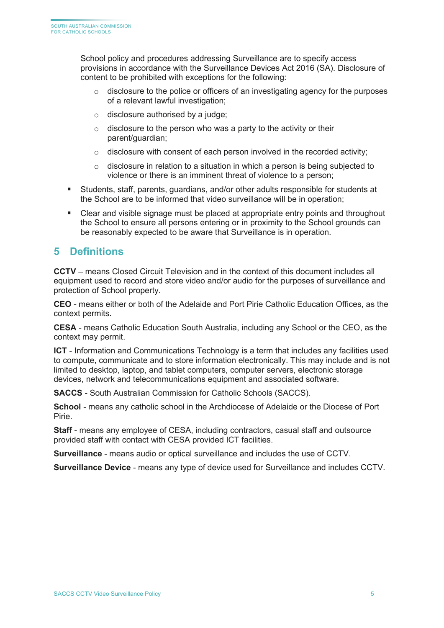School policy and procedures addressing Surveillance are to specify access provisions in accordance with the Surveillance Devices Act 2016 (SA). Disclosure of content to be prohibited with exceptions for the following:

- $\circ$  disclosure to the police or officers of an investigating agency for the purposes of a relevant lawful investigation;
- $\circ$  disclosure authorised by a judge;
- $\circ$  disclosure to the person who was a party to the activity or their parent/guardian;
- $\circ$  disclosure with consent of each person involved in the recorded activity;
- $\circ$  disclosure in relation to a situation in which a person is being subjected to violence or there is an imminent threat of violence to a person;
- Students, staff, parents, guardians, and/or other adults responsible for students at the School are to be informed that video surveillance will be in operation;
- Clear and visible signage must be placed at appropriate entry points and throughout the School to ensure all persons entering or in proximity to the School grounds can be reasonably expected to be aware that Surveillance is in operation.

#### <span id="page-5-0"></span>**5 Definitions**

**CCTV** – means Closed Circuit Television and in the context of this document includes all equipment used to record and store video and/or audio for the purposes of surveillance and protection of School property.

**CEO** - means either or both of the Adelaide and Port Pirie Catholic Education Offices, as the context permits.

**CESA** - means Catholic Education South Australia, including any School or the CEO, as the context may permit.

**ICT** - Information and Communications Technology is a term that includes any facilities used to compute, communicate and to store information electronically. This may include and is not limited to desktop, laptop, and tablet computers, computer servers, electronic storage devices, network and telecommunications equipment and associated software.

**SACCS** - South Australian Commission for Catholic Schools (SACCS).

**School** - means any catholic school in the Archdiocese of Adelaide or the Diocese of Port Pirie.

**Staff** - means any employee of CESA, including contractors, casual staff and outsource provided staff with contact with CESA provided ICT facilities.

**Surveillance** - means audio or optical surveillance and includes the use of CCTV.

**Surveillance Device** - means any type of device used for Surveillance and includes CCTV.